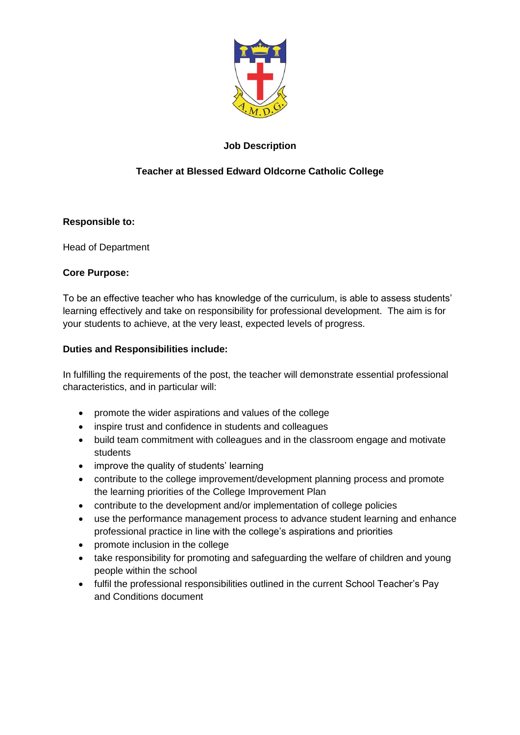

# **Job Description**

# **Teacher at Blessed Edward Oldcorne Catholic College**

## **Responsible to:**

Head of Department

## **Core Purpose:**

To be an effective teacher who has knowledge of the curriculum, is able to assess students' learning effectively and take on responsibility for professional development. The aim is for your students to achieve, at the very least, expected levels of progress.

#### **Duties and Responsibilities include:**

In fulfilling the requirements of the post, the teacher will demonstrate essential professional characteristics, and in particular will:

- promote the wider aspirations and values of the college
- inspire trust and confidence in students and colleagues
- build team commitment with colleagues and in the classroom engage and motivate students
- improve the quality of students' learning
- contribute to the college improvement/development planning process and promote the learning priorities of the College Improvement Plan
- contribute to the development and/or implementation of college policies
- use the performance management process to advance student learning and enhance professional practice in line with the college's aspirations and priorities
- promote inclusion in the college
- take responsibility for promoting and safeguarding the welfare of children and young people within the school
- fulfil the professional responsibilities outlined in the current School Teacher's Pay and Conditions document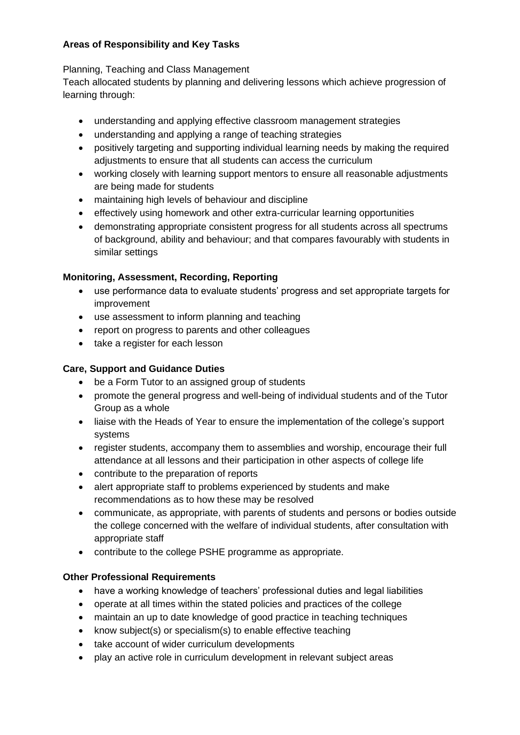## **Areas of Responsibility and Key Tasks**

## Planning, Teaching and Class Management

Teach allocated students by planning and delivering lessons which achieve progression of learning through:

- understanding and applying effective classroom management strategies
- understanding and applying a range of teaching strategies
- positively targeting and supporting individual learning needs by making the required adjustments to ensure that all students can access the curriculum
- working closely with learning support mentors to ensure all reasonable adjustments are being made for students
- maintaining high levels of behaviour and discipline
- effectively using homework and other extra-curricular learning opportunities
- demonstrating appropriate consistent progress for all students across all spectrums of background, ability and behaviour; and that compares favourably with students in similar settings

## **Monitoring, Assessment, Recording, Reporting**

- use performance data to evaluate students' progress and set appropriate targets for improvement
- use assessment to inform planning and teaching
- report on progress to parents and other colleagues
- take a register for each lesson

## **Care, Support and Guidance Duties**

- be a Form Tutor to an assigned group of students
- promote the general progress and well-being of individual students and of the Tutor Group as a whole
- liaise with the Heads of Year to ensure the implementation of the college's support systems
- register students, accompany them to assemblies and worship, encourage their full attendance at all lessons and their participation in other aspects of college life
- contribute to the preparation of reports
- alert appropriate staff to problems experienced by students and make recommendations as to how these may be resolved
- communicate, as appropriate, with parents of students and persons or bodies outside the college concerned with the welfare of individual students, after consultation with appropriate staff
- contribute to the college PSHE programme as appropriate.

## **Other Professional Requirements**

- have a working knowledge of teachers' professional duties and legal liabilities
- operate at all times within the stated policies and practices of the college
- maintain an up to date knowledge of good practice in teaching techniques
- know subject(s) or specialism(s) to enable effective teaching
- take account of wider curriculum developments
- play an active role in curriculum development in relevant subject areas